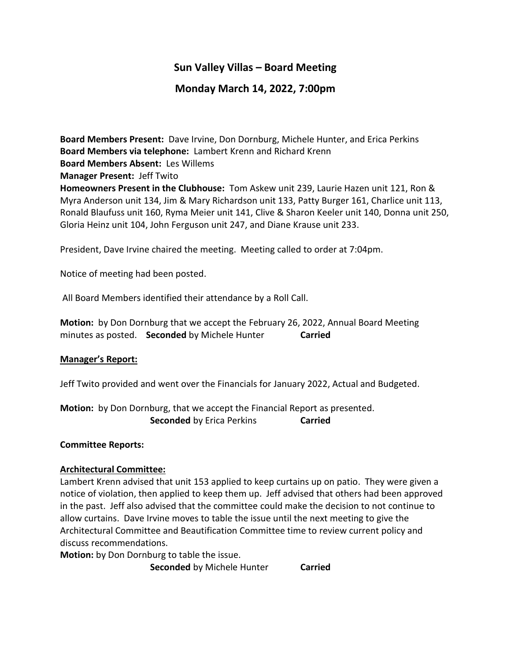# **Sun Valley Villas – Board Meeting**

## **Monday March 14, 2022, 7:00pm**

**Board Members Present:** Dave Irvine, Don Dornburg, Michele Hunter, and Erica Perkins **Board Members via telephone:** Lambert Krenn and Richard Krenn **Board Members Absent:** Les Willems **Manager Present:** Jeff Twito **Homeowners Present in the Clubhouse:** Tom Askew unit 239, Laurie Hazen unit 121, Ron & Myra Anderson unit 134, Jim & Mary Richardson unit 133, Patty Burger 161, Charlice unit 113, Ronald Blaufuss unit 160, Ryma Meier unit 141, Clive & Sharon Keeler unit 140, Donna unit 250, Gloria Heinz unit 104, John Ferguson unit 247, and Diane Krause unit 233.

President, Dave Irvine chaired the meeting. Meeting called to order at 7:04pm.

Notice of meeting had been posted.

All Board Members identified their attendance by a Roll Call.

**Motion:** by Don Dornburg that we accept the February 26, 2022, Annual Board Meeting minutes as posted. **Seconded** by Michele Hunter **Carried**

#### **Manager's Report:**

Jeff Twito provided and went over the Financials for January 2022, Actual and Budgeted.

**Motion:** by Don Dornburg, that we accept the Financial Report as presented. **Seconded** by Erica Perkins **Carried** 

#### **Committee Reports:**

#### **Architectural Committee:**

Lambert Krenn advised that unit 153 applied to keep curtains up on patio. They were given a notice of violation, then applied to keep them up. Jeff advised that others had been approved in the past. Jeff also advised that the committee could make the decision to not continue to allow curtains. Dave Irvine moves to table the issue until the next meeting to give the Architectural Committee and Beautification Committee time to review current policy and discuss recommendations.

**Motion:** by Don Dornburg to table the issue.

**Seconded** by Michele Hunter **Carried**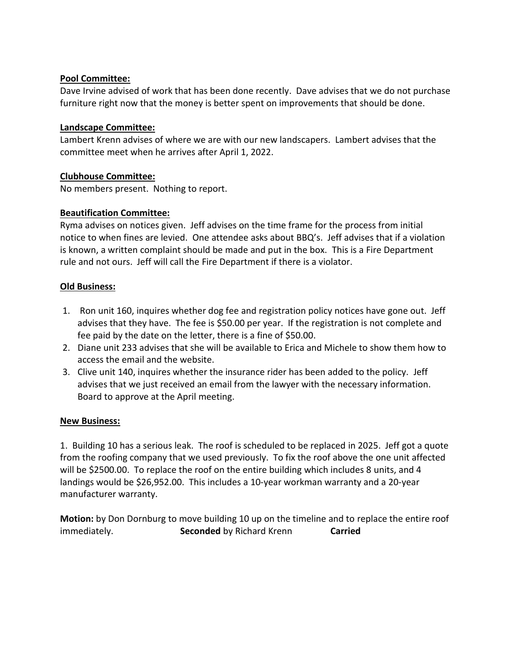## **Pool Committee:**

Dave Irvine advised of work that has been done recently. Dave advises that we do not purchase furniture right now that the money is better spent on improvements that should be done.

#### **Landscape Committee:**

Lambert Krenn advises of where we are with our new landscapers. Lambert advises that the committee meet when he arrives after April 1, 2022.

## **Clubhouse Committee:**

No members present. Nothing to report.

## **Beautification Committee:**

Ryma advises on notices given. Jeff advises on the time frame for the process from initial notice to when fines are levied. One attendee asks about BBQ's. Jeff advises that if a violation is known, a written complaint should be made and put in the box. This is a Fire Department rule and not ours. Jeff will call the Fire Department if there is a violator.

## **Old Business:**

- 1. Ron unit 160, inquires whether dog fee and registration policy notices have gone out. Jeff advises that they have. The fee is \$50.00 per year. If the registration is not complete and fee paid by the date on the letter, there is a fine of \$50.00.
- 2. Diane unit 233 advises that she will be available to Erica and Michele to show them how to access the email and the website.
- 3. Clive unit 140, inquires whether the insurance rider has been added to the policy. Jeff advises that we just received an email from the lawyer with the necessary information. Board to approve at the April meeting.

#### **New Business:**

1. Building 10 has a serious leak. The roof is scheduled to be replaced in 2025. Jeff got a quote from the roofing company that we used previously. To fix the roof above the one unit affected will be \$2500.00. To replace the roof on the entire building which includes 8 units, and 4 landings would be \$26,952.00. This includes a 10-year workman warranty and a 20-year manufacturer warranty.

**Motion:** by Don Dornburg to move building 10 up on the timeline and to replace the entire roof immediately. **Seconded** by Richard Krenn **Carried**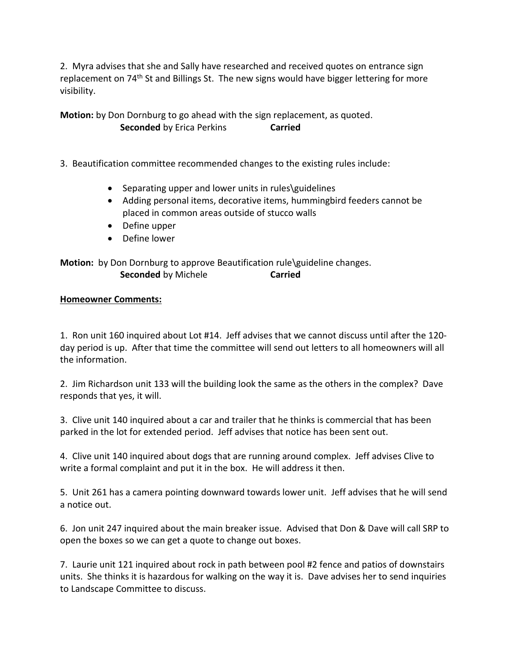2. Myra advises that she and Sally have researched and received quotes on entrance sign replacement on 74<sup>th</sup> St and Billings St. The new signs would have bigger lettering for more visibility.

**Motion:** by Don Dornburg to go ahead with the sign replacement, as quoted. **Seconded** by Erica Perkins **Carried** 

3. Beautification committee recommended changes to the existing rules include:

- Separating upper and lower units in rules\guidelines
- Adding personal items, decorative items, hummingbird feeders cannot be placed in common areas outside of stucco walls
- Define upper
- Define lower

**Motion:** by Don Dornburg to approve Beautification rule\guideline changes. **Seconded** by Michele **Carried** 

#### **Homeowner Comments:**

1. Ron unit 160 inquired about Lot #14. Jeff advises that we cannot discuss until after the 120 day period is up. After that time the committee will send out letters to all homeowners will all the information.

2. Jim Richardson unit 133 will the building look the same as the others in the complex? Dave responds that yes, it will.

3. Clive unit 140 inquired about a car and trailer that he thinks is commercial that has been parked in the lot for extended period. Jeff advises that notice has been sent out.

4. Clive unit 140 inquired about dogs that are running around complex. Jeff advises Clive to write a formal complaint and put it in the box. He will address it then.

5. Unit 261 has a camera pointing downward towards lower unit. Jeff advises that he will send a notice out.

6. Jon unit 247 inquired about the main breaker issue. Advised that Don & Dave will call SRP to open the boxes so we can get a quote to change out boxes.

7. Laurie unit 121 inquired about rock in path between pool #2 fence and patios of downstairs units. She thinks it is hazardous for walking on the way it is. Dave advises her to send inquiries to Landscape Committee to discuss.